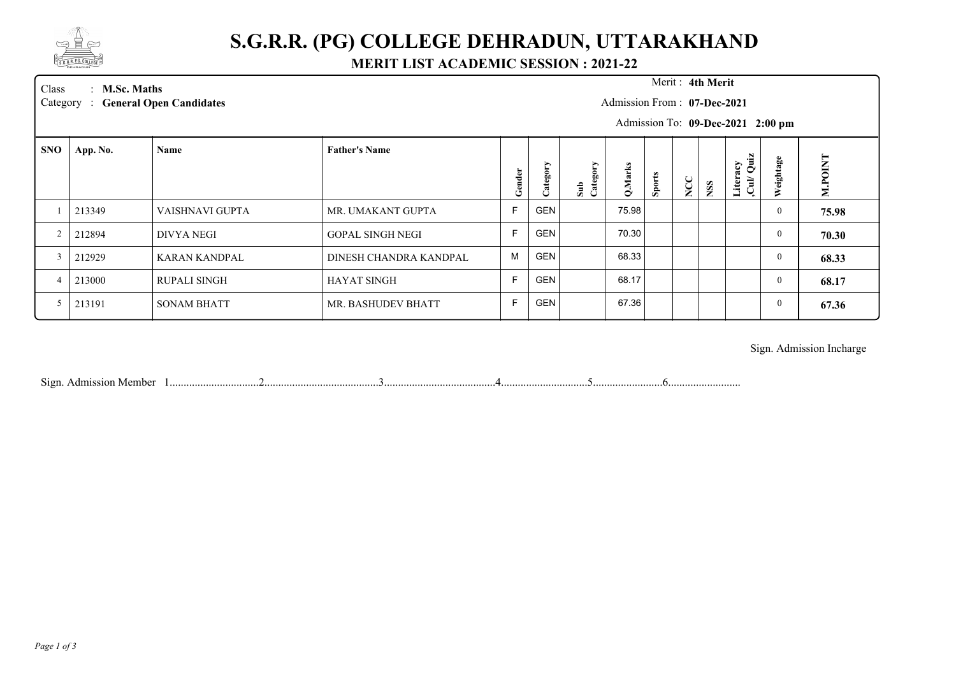

## **S.G.R.R. (PG) COLLEGE DEHRADUN, UTTARAKHAND**

#### **MERIT LIST ACADEMIC SESSION : 2021-22**

Merit: 4th Merit

Class : **M.Sc. Maths** Merit : Category : General Open Candidates **M.Sc. Maths** :

#### Admission From : **07-Dec-2021**

Admission To: **09-Dec-2021 2:00 pm**

| <b>SNO</b>     | App. No. | Name                | <b>Father's Name</b>    |        |             |                    |         |               |     |            | ά'n                                                    |               |         |
|----------------|----------|---------------------|-------------------------|--------|-------------|--------------------|---------|---------------|-----|------------|--------------------------------------------------------|---------------|---------|
|                |          |                     |                         | Gender | ≻<br>ategor | Category<br>$\sin$ | Q.Marks | <b>Sports</b> | NCC | <b>NSS</b> | acy<br>⊘<br><b>Liter:</b><br>$\overrightarrow{a}$<br>ن | eightage<br>≋ | M.POINT |
|                | 213349   | VAISHNAVI GUPTA     | MR. UMAKANT GUPTA       | E      | <b>GEN</b>  |                    | 75.98   |               |     |            |                                                        | $\mathbf{0}$  | 75.98   |
| $\overline{2}$ | 212894   | DIVYA NEGI          | <b>GOPAL SINGH NEGI</b> | Е      | <b>GEN</b>  |                    | 70.30   |               |     |            |                                                        | $\mathbf{0}$  | 70.30   |
|                | 212929   | KARAN KANDPAL       | DINESH CHANDRA KANDPAL  | M      | <b>GEN</b>  |                    | 68.33   |               |     |            |                                                        | $\mathbf{0}$  | 68.33   |
| 4              | 213000   | <b>RUPALI SINGH</b> | <b>HAYAT SINGH</b>      | E      | <b>GEN</b>  |                    | 68.17   |               |     |            |                                                        | $\mathbf{0}$  | 68.17   |
|                | 213191   | <b>SONAM BHATT</b>  | MR. BASHUDEV BHATT      |        | <b>GEN</b>  |                    | 67.36   |               |     |            |                                                        | $\mathbf{0}$  | 67.36   |
|                |          |                     |                         |        |             |                    |         |               |     |            |                                                        |               |         |

Sign. Admission Incharge

Sign. Admission Member 1................................2.........................................3........................................4...............................5.........................6..........................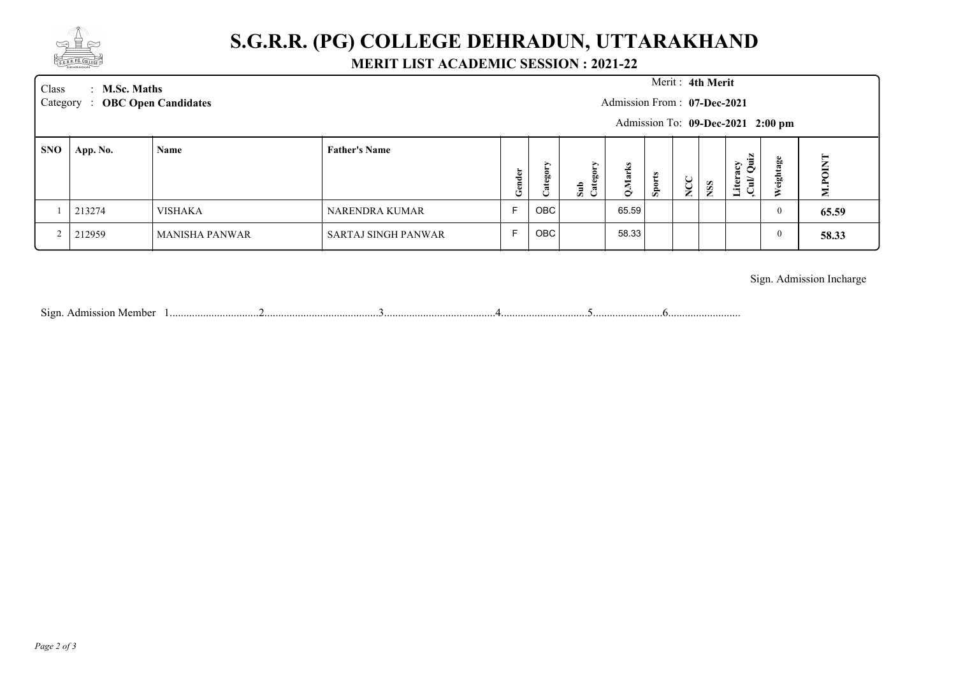

## **S.G.R.R. (PG) COLLEGE DEHRADUN, UTTARAKHAND**

### **MERIT LIST ACADEMIC SESSION : 2021-22**

| Class | $\therefore$ M.Sc. Maths<br>Category : OBC Open Candidates |                       | Merit: 4th Merit<br>Admission From: 07-Dec-2021<br>Admission To: 09-Dec-2021 2:00 pm |         |             |                    |         |        |        |           |                                       |           |         |
|-------|------------------------------------------------------------|-----------------------|--------------------------------------------------------------------------------------|---------|-------------|--------------------|---------|--------|--------|-----------|---------------------------------------|-----------|---------|
| SNO   | App. No.                                                   | Name                  | <b>Father's Name</b>                                                                 | g<br>تع | ⋗<br>Catego | ><br>Sub<br>Catego | Q.Marks | Sports | ◡<br>ž | <b>SS</b> | Literacy<br>Cul/ Quiz<br>$\mbox{Cul}$ | Weightage | M.POINT |
|       | 213274                                                     | <b>VISHAKA</b>        | NARENDRA KUMAR                                                                       | F       | OBC         |                    | 65.59   |        |        |           |                                       | 0         | 65.59   |
|       | 212959                                                     | <b>MANISHA PANWAR</b> | SARTAJ SINGH PANWAR                                                                  |         | OBC         |                    | 58.33   |        |        |           |                                       | v         | 58.33   |

Sign. Admission Incharge

Sign. Admission Member 1................................2.........................................3........................................4...............................5.........................6..........................